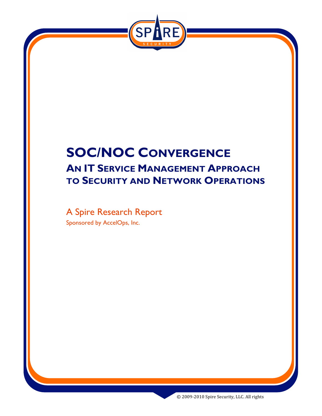

# **SOC/NOC CONVERGENCE AN IT SERVICE MANAGEMENT APPROACH TO SECURITY AND NETWORK OPERATIONS**

A Spire Research Report Sponsored by AccelOps, Inc.

©
2009‐2010
Spire
Security,
LLC.
All
rights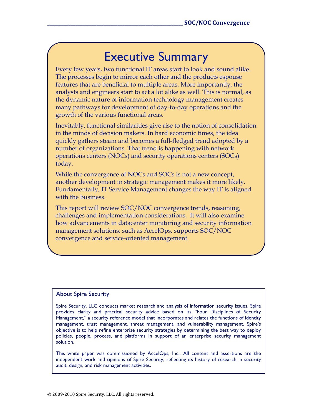# Executive Summary

Every few years, two functional IT areas start to look and sound alike. The processes begin to mirror each other and the products espouse features that are beneficial to multiple areas. More importantly, the analysts and engineers start to act a lot alike as well. This is normal, as the dynamic nature of information technology management creates many pathways for development of day-to-day operations and the growth of the various functional areas.

Inevitably, functional similarities give rise to the notion of consolidation in the minds of decision makers. In hard economic times, the idea quickly gathers steam and becomes a full-fledged trend adopted by a number of organizations. That trend is happening with network operations centers (NOCs) and security operations centers (SOCs) today.

While the convergence of NOCs and SOCs is not a new concept, another development in strategic management makes it more likely. Fundamentally, IT Service Management changes the way IT is aligned with the business.

This report will review SOC/NOC convergence trends, reasoning, challenges and implementation considerations. It will also examine how advancements in datacenter monitoring and security information management solutions, such as AccelOps, supports SOC/NOC convergence and service-oriented management.

#### About Spire Security

Spire Security, LLC conducts market research and analysis of information security issues. Spire provides clarity and practical security advice based on its "Four Disciplines of Security Management," a security reference model that incorporates and relates the functions of identity management, trust management, threat management, and vulnerability management. Spire's objective is to help refine enterprise security strategies by determining the best way to deploy policies, people, process, and platforms in support of an enterprise security management solution.

This white paper was commissioned by AccelOps, Inc.. All content and assertions are the independent work and opinions of Spire Security, reflecting its history of research in security audit, design, and risk management activities.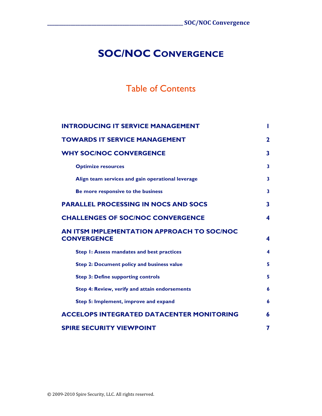## **SOC/NOC CONVERGENCE**

## Table of Contents

| <b>INTRODUCING IT SERVICE MANAGEMENT</b>                         | ш            |
|------------------------------------------------------------------|--------------|
| <b>TOWARDS IT SERVICE MANAGEMENT</b>                             | $\mathbf{2}$ |
| <b>WHY SOC/NOC CONVERGENCE</b>                                   | 3            |
| <b>Optimize resources</b>                                        | 3            |
| Align team services and gain operational leverage                | 3            |
| Be more responsive to the business                               | 3            |
| <b>PARALLEL PROCESSING IN NOCS AND SOCS</b>                      | 3            |
| <b>CHALLENGES OF SOC/NOC CONVERGENCE</b>                         | 4            |
| AN ITSM IMPLEMENTATION APPROACH TO SOC/NOC<br><b>CONVERGENCE</b> | 4            |
| Step I: Assess mandates and best practices                       | 4            |
| Step 2: Document policy and business value                       | 5            |
| <b>Step 3: Define supporting controls</b>                        | 5            |
| Step 4: Review, verify and attain endorsements                   | 6            |
| Step 5: Implement, improve and expand                            | 6            |
| <b>ACCELOPS INTEGRATED DATACENTER MONITORING</b>                 | 6            |
| <b>SPIRE SECURITY VIEWPOINT</b>                                  | 7            |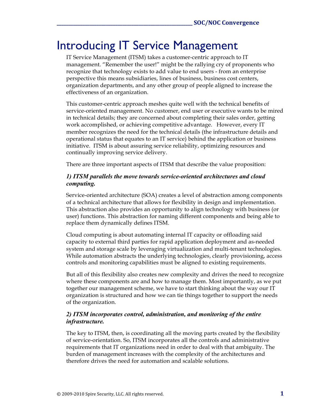# Introducing IT Service Management

IT Service Management (ITSM) takes a customer-centric approach to IT management. "Remember the user!" might be the rallying cry of proponents who recognize that technology exists to add value to end users - from an enterprise perspective this means subsidiaries, lines of business, business cost centers, organization departments, and any other group of people aligned to increase the effectiveness of an organization.

This customer-centric approach meshes quite well with the technical benefits of service-oriented management. No customer, end user or executive wants to be mired in technical details; they are concerned about completing their sales order, getting work accomplished, or achieving competitive advantage. However, every IT member recognizes the need for the technical details (the infrastructure details and operational status that equates to an IT service) behind the application or business initiative. ITSM is about assuring service reliability, optimizing resources and continually improving service delivery.

There are three important aspects of ITSM that describe the value proposition:

### *1) ITSM parallels the move towards service-oriented architectures and cloud computing.*

Service-oriented architecture (SOA) creates a level of abstraction among components of a technical architecture that allows for flexibility in design and implementation. This abstraction also provides an opportunity to align technology with business (or user) functions. This abstraction for naming different components and being able to replace them dynamically defines ITSM.

Cloud computing is about automating internal IT capacity or offloading said capacity to external third parties for rapid application deployment and as-needed system and storage scale by leveraging virtualization and multi-tenant technologies. While automation abstracts the underlying technologies, clearly provisioning, access controls and monitoring capabilities must be aligned to existing requirements.

But all of this flexibility also creates new complexity and drives the need to recognize where these components are and how to manage them. Most importantly, as we put together our management scheme, we have to start thinking about the way our IT organization is structured and how we can tie things together to support the needs of the organization.

### *2) ITSM incorporates control, administration, and monitoring of the entire infrastructure.*

The key to ITSM, then, is coordinating all the moving parts created by the flexibility of service-orientation. So, ITSM incorporates all the controls and administrative requirements that IT organizations need in order to deal with that ambiguity. The burden of management increases with the complexity of the architectures and therefore drives the need for automation and scalable solutions.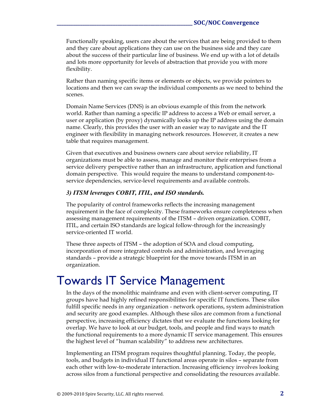Functionally speaking, users care about the services that are being provided to them and they care about applications they can use on the business side and they care about the success of their particular line of business. We end up with a lot of details and lots more opportunity for levels of abstraction that provide you with more flexibility.

Rather than naming specific items or elements or objects, we provide pointers to locations and then we can swap the individual components as we need to behind the scenes.

Domain Name Services (DNS) is an obvious example of this from the network world. Rather than naming a specific IP address to access a Web or email server, a user or application (by proxy) dynamically looks up the IP address using the domain name. Clearly, this provides the user with an easier way to navigate and the IT engineer with flexibility in managing network resources. However, it creates a new table that requires management.

Given that executives and business owners care about service reliability, IT organizations must be able to assess, manage and monitor their enterprises from a service delivery perspective rather than an infrastructure, application and functional domain perspective. This would require the means to understand component-toservice dependencies, service-level requirements and available controls.

#### *3) ITSM leverages COBIT, ITIL, and ISO standards.*

The popularity of control frameworks reflects the increasing management requirement in the face of complexity. These frameworks ensure completeness when assessing management requirements of the ITSM – driven organization. COBIT, ITIL, and certain ISO standards are logical follow-through for the increasingly service-oriented IT world.

These three aspects of ITSM – the adoption of SOA and cloud computing, incorporation of more integrated controls and administration, and leveraging standards – provide a strategic blueprint for the move towards ITSM in an organization.

# Towards IT Service Management

In the days of the monolithic mainframe and even with client-server computing, IT groups have had highly refined responsibilities for specific IT functions. These silos fulfill specific needs in any organization - network operations, system administration and security are good examples. Although these silos are common from a functional perspective, increasing efficiency dictates that we evaluate the functions looking for overlap. We have to look at our budget, tools, and people and find ways to match the functional requirements to a more dynamic IT service management. This ensures the highest level of "human scalability" to address new architectures.

Implementing an ITSM program requires thoughtful planning. Today, the people, tools, and budgets in individual IT functional areas operate in silos – separate from each other with low-to-moderate interaction. Increasing efficiency involves looking across silos from a functional perspective and consolidating the resources available.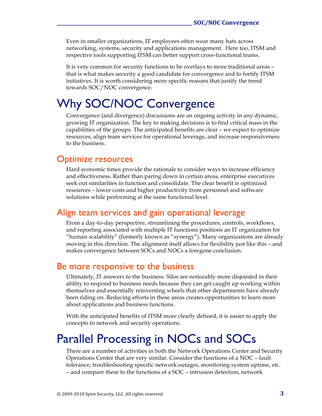Even in smaller organizations, IT employees often wear many hats across networking, systems, security and applications management. Here too, ITSM and respective tools supporting ITSM can better support cross-functional teams.

It is very common for security functions to be overlays to more traditional areas – that is what makes security a good candidate for convergence and to fortify ITSM initiatives. It is worth considering more specific reasons that justify the trend towards SOC/NOC convergence.

# Why SOC/NOC Convergence

Convergence (and divergence) discussions are an ongoing activity in any dynamic, growing IT organization. The key to making decisions is to find critical mass in the capabilities of the groups. The anticipated benefits are clear – we expect to optimize resources, align team services for operational leverage, and increase responsiveness to the business.

### Optimize resources

Hard economic times provide the rationale to consider ways to increase efficiency and effectiveness. Rather than paring down in certain areas, enterprise executives seek out similarities in function and consolidate. The clear benefit is optimized resources – lower costs and higher productivity from personnel and software solutions while performing at the same functional level.

### Align team services and gain operational leverage

From a day-to-day perspective, streamlining the procedures, controls, workflows, and reporting associated with multiple IT functions positions an IT organization for "human scalability" (formerly known as "synergy"). Many organizations are already moving in this direction. The alignment itself allows for flexibility just like this – and makes convergence between SOCs and NOCs a foregone conclusion.

### Be more responsive to the business

Ultimately, IT answers to the business. Silos are noticeably more disjointed in their ability to respond to business needs because they can get caught up working within themselves and essentially reinventing wheels that other departments have already been riding on. Reducing efforts in these areas creates opportunities to learn more about applications and business functions.

With the anticipated benefits of ITSM more clearly defined, it is easier to apply the concepts to network and security operations.

## Parallel Processing in NOCs and SOCs

There are a number of activities in both the Network Operations Center and Security Operations Center that are very similar. Consider the functions of a NOC – fault tolerance, troubleshooting specific network outages, monitoring system uptime, etc. – and compare these to the functions of a SOC – intrusion detection, network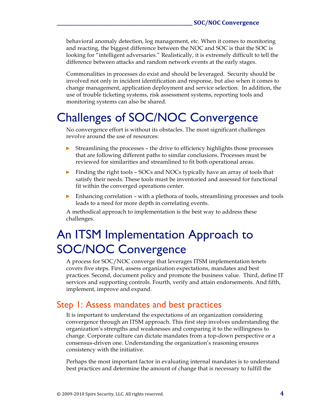behavioral anomaly detection, log management, etc. When it comes to monitoring and reacting, the biggest difference between the NOC and SOC is that the SOC is looking for "intelligent adversaries." Realistically, it is extremely difficult to tell the difference between attacks and random network events at the early stages.

Commonalities in processes do exist and should be leveraged. Security should be involved not only in incident identification and response, but also when it comes to change management, application deployment and service selection. In addition, the use of trouble ticketing systems, risk assessment systems, reporting tools and monitoring systems can also be shared.

# Challenges of SOC/NOC Convergence

No convergence effort is without its obstacles. The most significant challenges revolve around the use of resources:

- ► Streamlining the processes the drive to efficiency highlights those processes that are following different paths to similar conclusions. Processes must be reviewed for similarities and streamlined to fit both operational areas.
- ► Finding the right tools SOCs and NOCs typically have an array of tools that satisfy their needs. These tools must be inventoried and assessed for functional fit within the converged operations center.
- ► Enhancing correlation with a plethora of tools, streamlining processes and tools leads to a need for more depth in correlating events.

A methodical approach to implementation is the best way to address these challenges.

# An ITSM Implementation Approach to SOC/NOC Convergence

A process for SOC/NOC converge that leverages ITSM implementation tenets covers five steps. First, assess organization expectations, mandates and best practices. Second, document policy and promote the business value. Third, define IT services and supporting controls. Fourth, verify and attain endorsements. And fifth, implement, improve and expand.

## Step 1: Assess mandates and best practices

It is important to understand the expectations of an organization considering convergence through an ITSM approach. This first step involves understanding the organization's strengths and weaknesses and comparing it to the willingness to change. Corporate culture can dictate mandates from a top-down perspective or a consensus-driven one. Understanding the organization's reasoning ensures consistency with the initiative.

Perhaps the most important factor in evaluating internal mandates is to understand best practices and determine the amount of change that is necessary to fulfill the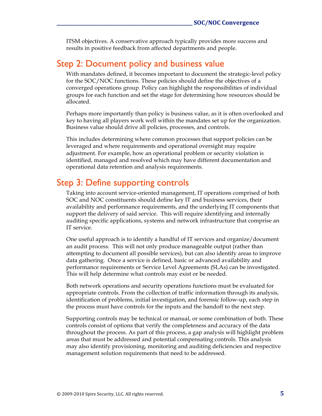ITSM objectives. A conservative approach typically provides more success and results in positive feedback from affected departments and people.

### Step 2: Document policy and business value

With mandates defined, it becomes important to document the strategic-level policy for the SOC/NOC functions. These policies should define the objectives of a converged operations group. Policy can highlight the responsibilities of individual groups for each function and set the stage for determining how resources should be allocated.

Perhaps more importantly than policy is business value, as it is often overlooked and key to having all players work well within the mandates set up for the organization. Business value should drive all policies, processes, and controls.

This includes determining where common processes that support policies can be leveraged and where requirements and operational oversight may require adjustment. For example, how an operational problem or security violation is identified, managed and resolved which may have different documentation and operational data retention and analysis requirements.

## Step 3: Define supporting controls

Taking into account service-oriented management, IT operations comprised of both SOC and NOC constituents should define key IT and business services, their availability and performance requirements, and the underlying IT components that support the delivery of said service. This will require identifying and internally auditing specific applications, systems and network infrastructure that comprise an IT service.

One useful approach is to identify a handful of IT services and organize/document an audit process. This will not only produce manageable output (rather than attempting to document all possible services), but can also identify areas to improve data gathering. Once a service is defined, basic or advanced availability and performance requirements or Service Level Agreements (SLAs) can be investigated. This will help determine what controls may exist or be needed.

Both network operations and security operations functions must be evaluated for appropriate controls. From the collection of traffic information through its analysis, identification of problems, initial investigation, and forensic follow-up, each step in the process must have controls for the inputs and the handoff to the next step.

Supporting controls may be technical or manual, or some combination of both. These controls consist of options that verify the completeness and accuracy of the data throughout the process. As part of this process, a gap analysis will highlight problem areas that must be addressed and potential compensating controls. This analysis may also identify provisioning, monitoring and auditing deficiencies and respective management solution requirements that need to be addressed.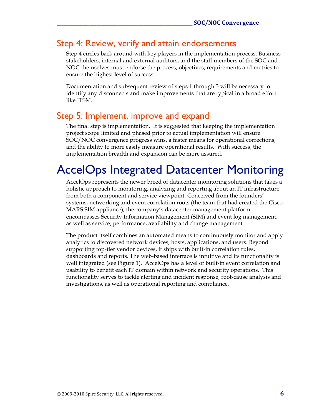## Step 4: Review, verify and attain endorsements

Step 4 circles back around with key players in the implementation process. Business stakeholders, internal and external auditors, and the staff members of the SOC and NOC themselves must endorse the process, objectives, requirements and metrics to ensure the highest level of success.

Documentation and subsequent review of steps 1 through 3 will be necessary to identify any disconnects and make improvements that are typical in a broad effort like ITSM.

### Step 5: Implement, improve and expand

The final step is implementation. It is suggested that keeping the implementation project scope limited and phased prior to actual implementation will ensure SOC/NOC convergence progress wins, a faster means for operational corrections, and the ability to more easily measure operational results. With success, the implementation breadth and expansion can be more assured.

# AccelOps Integrated Datacenter Monitoring

AccelOps represents the newer breed of datacenter monitoring solutions that takes a holistic approach to monitoring, analyzing and reporting about an IT infrastructure from both a component and service viewpoint. Conceived from the founders' systems, networking and event correlation roots (the team that had created the Cisco MARS SIM appliance), the company's datacenter management platform encompasses Security Information Management (SIM) and event log management, as well as service, performance, availability and change management.

The product itself combines an automated means to continuously monitor and apply analytics to discovered network devices, hosts, applications, and users. Beyond supporting top-tier vendor devices, it ships with built-in correlation rules, dashboards and reports. The web-based interface is intuitive and its functionality is well integrated (see Figure 1). AccelOps has a level of built-in event correlation and usability to benefit each IT domain within network and security operations. This functionality serves to tackle alerting and incident response, root-cause analysis and investigations, as well as operational reporting and compliance.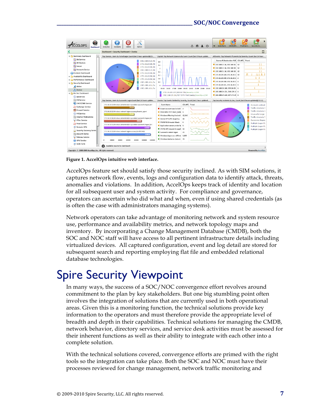#### **\_\_\_\_\_\_\_\_\_\_\_\_\_\_\_\_\_\_\_\_\_\_\_\_\_\_\_\_\_\_\_\_\_\_\_\_\_\_\_\_\_\_\_\_\_\_\_\_\_\_\_\_\_\_\_\_\_\_
SOC/NOC
Convergence**



**Figure 1. AccelOps intuitive web interface.**

AccelOps feature set should satisfy those security inclined. As with SIM solutions, it captures network flow, events, logs and configuration data to identify attack, threats, anomalies and violations. In addition, AccelOps keeps track of identity and location for all subsequent user and system activity. For compliance and governance, operators can ascertain who did what and when, even if using shared credentials (as is often the case with administrators managing systems).

Network operators can take advantage of monitoring network and system resource use, performance and availability metrics, and network topology maps and inventory. By incorporating a Change Management Database (CMDB), both the SOC and NOC staff will have access to all pertinent infrastructure details including virtualized devices. All captured configuration, event and log detail are stored for subsequent search and reporting employing flat file and embedded relational database technologies.

# Spire Security Viewpoint

In many ways, the success of a SOC/NOC convergence effort revolves around commitment to the plan by key stakeholders. But one big stumbling point often involves the integration of solutions that are currently used in both operational areas. Given this is a monitoring function, the technical solutions provide key information to the operators and must therefore provide the appropriate level of breadth and depth in their capabilities. Technical solutions for managing the CMDB, network behavior, directory services, and service desk activities must be assessed for their inherent functions as well as their ability to integrate with each other into a complete solution.

With the technical solutions covered, convergence efforts are primed with the right tools so the integration can take place. Both the SOC and NOC must have their processes reviewed for change management, network traffic monitoring and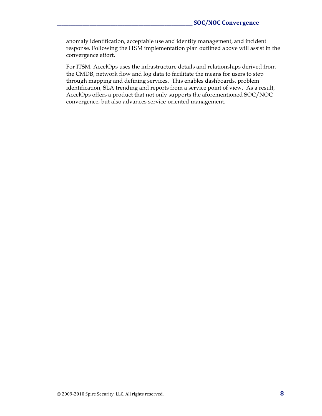anomaly identification, acceptable use and identity management, and incident response. Following the ITSM implementation plan outlined above will assist in the convergence effort.

For ITSM, AccelOps uses the infrastructure details and relationships derived from the CMDB, network flow and log data to facilitate the means for users to step through mapping and defining services. This enables dashboards, problem identification, SLA trending and reports from a service point of view. As a result, AccelOps offers a product that not only supports the aforementioned SOC/NOC convergence, but also advances service-oriented management.